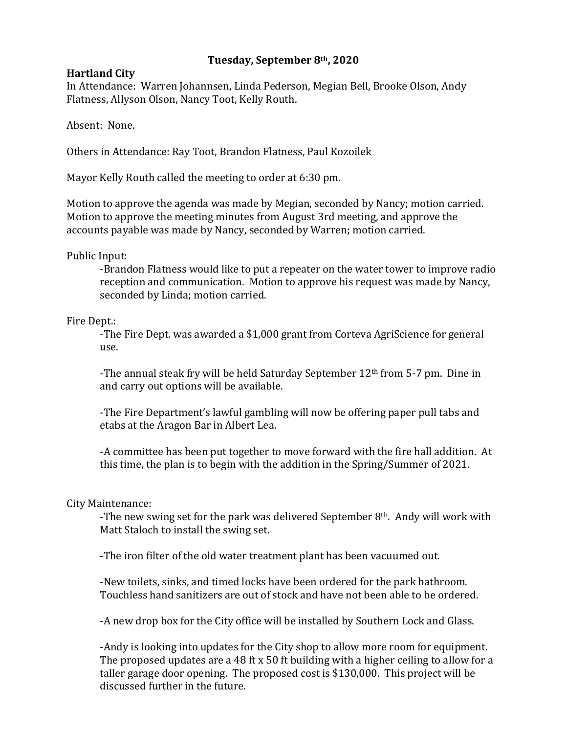# **Tuesday, September 8th, 2020**

## **Hartland City**

In Attendance: Warren Johannsen, Linda Pederson, Megian Bell, Brooke Olson, Andy Flatness, Allyson Olson, Nancy Toot, Kelly Routh.

Absent: None.

Others in Attendance: Ray Toot, Brandon Flatness, Paul Kozoilek

Mayor Kelly Routh called the meeting to order at 6:30 pm.

Motion to approve the agenda was made by Megian, seconded by Nancy; motion carried. Motion to approve the meeting minutes from August 3rd meeting, and approve the accounts payable was made by Nancy, seconded by Warren; motion carried.

Public Input:

-Brandon Flatness would like to put a repeater on the water tower to improve radio reception and communication. Motion to approve his request was made by Nancy, seconded by Linda; motion carried.

Fire Dept.:

-The Fire Dept. was awarded a \$1,000 grant from Corteva AgriScience for general use.

-The annual steak fry will be held Saturday September 12<sup>th</sup> from 5-7 pm. Dine in and carry out options will be available.

-The Fire Department's lawful gambling will now be offering paper pull tabs and etabs at the Aragon Bar in Albert Lea.

-A committee has been put together to move forward with the fire hall addition. At this time, the plan is to begin with the addition in the Spring/Summer of 2021.

# City Maintenance:

-The new swing set for the park was delivered September  $8<sup>th</sup>$ . Andy will work with Matt Staloch to install the swing set.

-The iron filter of the old water treatment plant has been vacuumed out.

-New toilets, sinks, and timed locks have been ordered for the park bathroom. Touchless hand sanitizers are out of stock and have not been able to be ordered.

-A new drop box for the City office will be installed by Southern Lock and Glass.

-Andy is looking into updates for the City shop to allow more room for equipment. The proposed updates are a 48 ft x 50 ft building with a higher ceiling to allow for a taller garage door opening. The proposed cost is \$130,000. This project will be discussed further in the future.